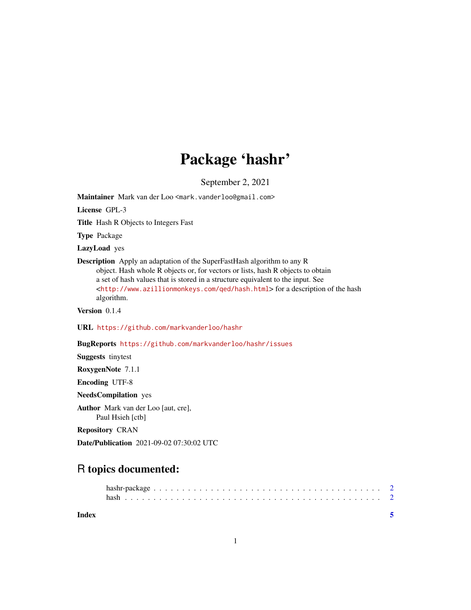## Package 'hashr'

September 2, 2021

<span id="page-0-0"></span>Maintainer Mark van der Loo <mark.vanderloo@gmail.com>

License GPL-3

Title Hash R Objects to Integers Fast

Type Package

LazyLoad yes

Description Apply an adaptation of the SuperFastHash algorithm to any R object. Hash whole R objects or, for vectors or lists, hash R objects to obtain a set of hash values that is stored in a structure equivalent to the input. See <<http://www.azillionmonkeys.com/qed/hash.html>> for a description of the hash algorithm.

Version 0.1.4

URL <https://github.com/markvanderloo/hashr>

BugReports <https://github.com/markvanderloo/hashr/issues>

Suggests tinytest

RoxygenNote 7.1.1

Encoding UTF-8

NeedsCompilation yes

Author Mark van der Loo [aut, cre], Paul Hsieh [ctb]

Repository CRAN

Date/Publication 2021-09-02 07:30:02 UTC

### R topics documented:

| Index |  |  |  |  |  |  |  |  |  |  |  |  |  |  |  |  |  |  |  |  |
|-------|--|--|--|--|--|--|--|--|--|--|--|--|--|--|--|--|--|--|--|--|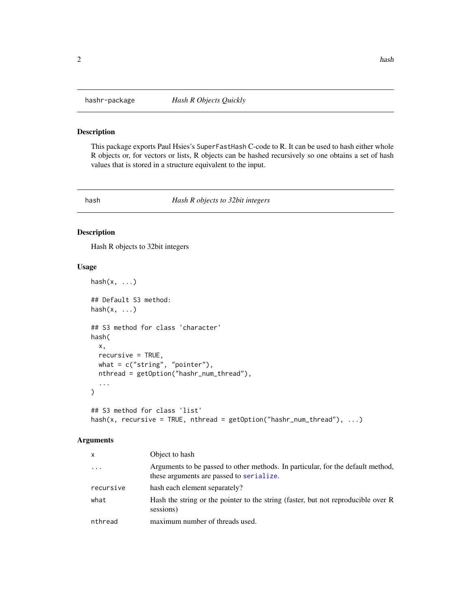<span id="page-1-0"></span>

#### Description

This package exports Paul Hsies's SuperFastHash C-code to R. It can be used to hash either whole R objects or, for vectors or lists, R objects can be hashed recursively so one obtains a set of hash values that is stored in a structure equivalent to the input.

hash *Hash R objects to 32bit integers*

#### Description

Hash R objects to 32bit integers

#### Usage

```
hash(x, \ldots)## Default S3 method:
hash(x, \ldots)## S3 method for class 'character'
hash(
  x,
  recursive = TRUE,
 what = c("string", "pointer"),nthread = getOption("hashr_num_thread"),
  ...
\mathcal{E}## S3 method for class 'list'
hash(x, recursive = TRUE, nthread = getOption("hashr_number = three", ...)
```
#### Arguments

| x         | Object to hash                                                                                                              |
|-----------|-----------------------------------------------------------------------------------------------------------------------------|
| $\cdot$   | Arguments to be passed to other methods. In particular, for the default method,<br>these arguments are passed to serialize. |
| recursive | hash each element separately?                                                                                               |
| what      | Hash the string or the pointer to the string (faster, but not reproducible over R<br>sessions)                              |
| nthread   | maximum number of threads used.                                                                                             |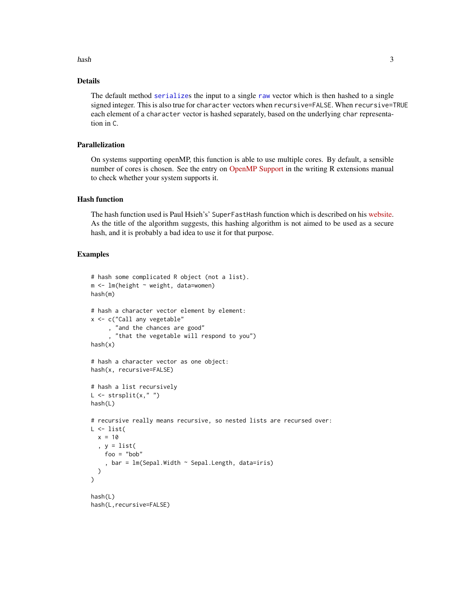#### <span id="page-2-0"></span>hash 3

#### Details

The default method [serialize](#page-0-0)s the input to a single [raw](#page-0-0) vector which is then hashed to a single signed integer. This is also true for character vectors when recursive=FALSE. When recursive=TRUE each element of a character vector is hashed separately, based on the underlying char representation in C.

#### Parallelization

On systems supporting openMP, this function is able to use multiple cores. By default, a sensible number of cores is chosen. See the entry on [OpenMP Support](https://cran.r-project.org/doc/manuals/r-release/R-exts.html#OpenMP-support) in the writing R extensions manual to check whether your system supports it.

#### Hash function

The hash function used is Paul Hsieh's' SuperFastHash function which is described on his [website.](http://www.azillionmonkeys.com/qed/hash.html) As the title of the algorithm suggests, this hashing algorithm is not aimed to be used as a secure hash, and it is probably a bad idea to use it for that purpose.

#### Examples

```
# hash some complicated R object (not a list).
m <- lm(height ~ weight, data=women)
hash(m)
# hash a character vector element by element:
x <- c("Call any vegetable"
     , "and the chances are good"
     , "that the vegetable will respond to you")
hash(x)
# hash a character vector as one object:
hash(x, recursive=FALSE)
# hash a list recursively
L \leftarrow \text{strsplit}(x, "")hash(L)
# recursive really means recursive, so nested lists are recursed over:
L \leftarrow list(x = 10, y = list(
    foo = "bob"
    , bar = lm(Sepal.Width ~ Sepal.Length, data=iris)
  )
)
hash(L)
hash(L,recursive=FALSE)
```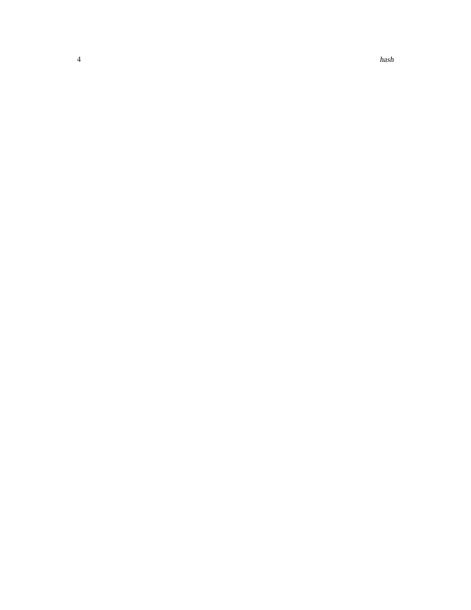$\overline{4}$